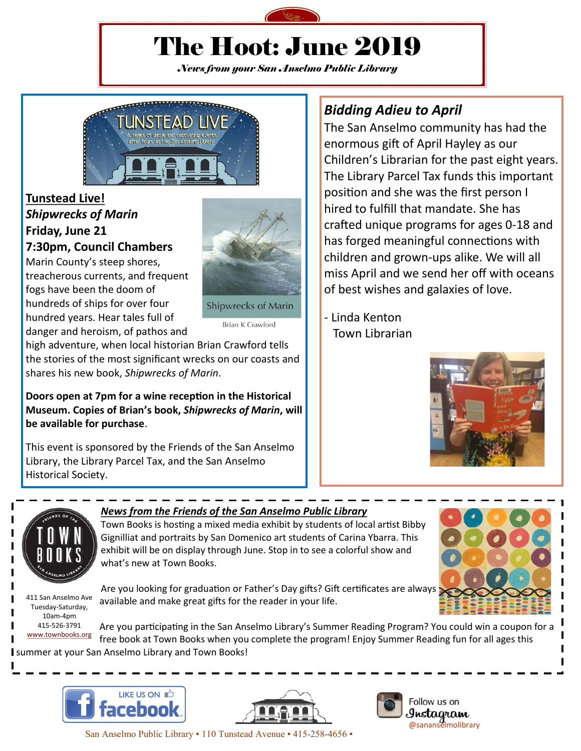

# The Hoot: June 2019

*News from your San Anselmo Public Library*



### **Tunstead Live!** *Shipwrecks of Marin* **Friday, June 21**

**7:30pm, Council Chambers**

Marin County's steep shores, treacherous currents, and frequent fogs have been the doom of hundreds of ships for over four hundred years. Hear tales full of danger and heroism, of pathos and



Shipwrecks of Marin

**Brian K Crawford** 

high adventure, when local historian Brian Crawford tells the stories of the most significant wrecks on our coasts and shares his new book, *Shipwrecks of Marin*.

**Doors open at 7pm for a wine reception in the Historical Museum. Copies of Brian's book,** *Shipwrecks of Marin***, will be available for purchase**.

This event is sponsored by the Friends of the San Anselmo Library, the Library Parcel Tax, and the San Anselmo Historical Society.

## *Bidding Adieu to April*

The San Anselmo community has had the enormous gift of April Hayley as our Children's Librarian for the past eight years. The Library Parcel Tax funds this important position and she was the first person I hired to fulfill that mandate. She has crafted unique programs for ages 0-18 and has forged meaningful connections with children and grown-ups alike. We will all miss April and we send her off with oceans of best wishes and galaxies of love.

- Linda Kenton Town Librarian





411 San Anselmo Ave Tuesday-Saturday, 10am-4pm 415-526-3791 [www.townbooks.org](http://www.townbooks.org/)

#### *News from the Friends of the San Anselmo Public Library*

Town Books is hosting a mixed media exhibit by students of local artist Bibby Gignilliat and portraits by San Domenico art students of Carina Ybarra. This exhibit will be on display through June. Stop in to see a colorful show and what's new at Town Books.

Are you looking for graduation or Father's Day gifts? Gift certificates are always available and make great gifts for the reader in your life.

Are you participating in the San Anselmo Library's Summer Reading Program? You could win a coupon for a free book at Town Books when you complete the program! Enjoy Summer Reading fun for all ages this summer at your San Anselmo Library and Town Books!







San Anselmo Public Library . 110 Tunstead Avenue . 415-258-4656 .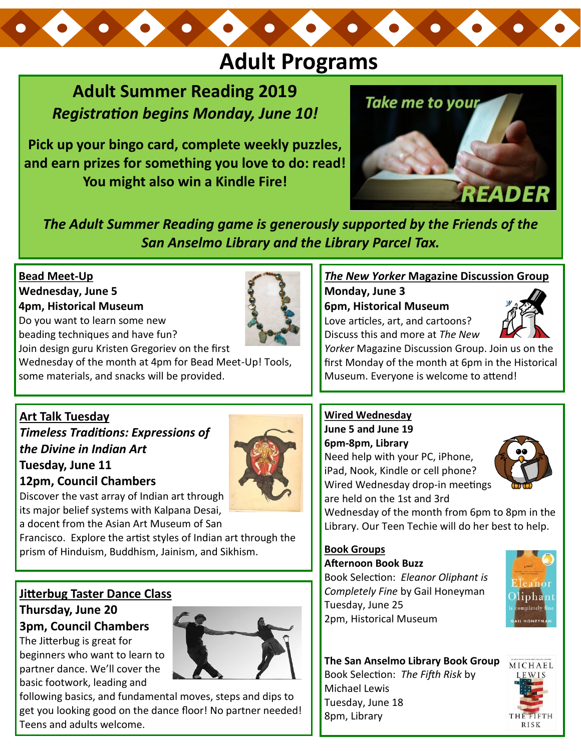# **Adult Programs**

## **Adult Summer Reading 2019** *Registration begins Monday, June 10!*

**Pick up your bingo card, complete weekly puzzles, and earn prizes for something you love to do: read! You might also win a Kindle Fire!** 



*The Adult Summer Reading game is generously supported by the Friends of the San Anselmo Library and the Library Parcel Tax.* 

#### **Bead Meet-Up Wednesday, June 5 4pm, Historical Museum**

Do you want to learn some new beading techniques and have fun?



#### *The New Yorker* **Magazine Discussion Group**

**Monday, June 3 6pm, Historical Museum** 

Love articles, art, and cartoons? Discuss this and more at *The New* 



*Yorker* Magazine Discussion Group. Join us on the first Monday of the month at 6pm in the Historical Museum. Everyone is welcome to attend!

#### **Art Talk Tuesday**

#### *Timeless Traditions: Expressions of the Divine in Indian Art* **Tuesday, June 11**

**12pm, Council Chambers**



Discover the vast array of Indian art through its major belief systems with Kalpana Desai, a docent from the Asian Art Museum of San

Francisco. Explore the artist styles of Indian art through the prism of Hinduism, Buddhism, Jainism, and Sikhism.

### **Jitterbug Taster Dance Class**

#### **Thursday, June 20 3pm, Council Chambers**

The Jitterbug is great for beginners who want to learn to partner dance. We'll cover the basic footwork, leading and



following basics, and fundamental moves, steps and dips to get you looking good on the dance floor! No partner needed! Teens and adults welcome.

#### **Wired Wednesday**

**June 5 and June 19 6pm-8pm, Library**

Need help with your PC, iPhone, iPad, Nook, Kindle or cell phone? Wired Wednesday drop-in meetings are held on the 1st and 3rd



Wednesday of the month from 6pm to 8pm in the Library. Our Teen Techie will do her best to help.

#### **Book Groups Afternoon Book Buzz**

Book Selection: *Eleanor Oliphant is Completely Fine* by Gail Honeyman Tuesday, June 25 2pm, Historical Museum



#### **The San Anselmo Library Book Group** Book Selection: *The Fifth Risk* by Michael Lewis Tuesday, June 18 8pm, Library